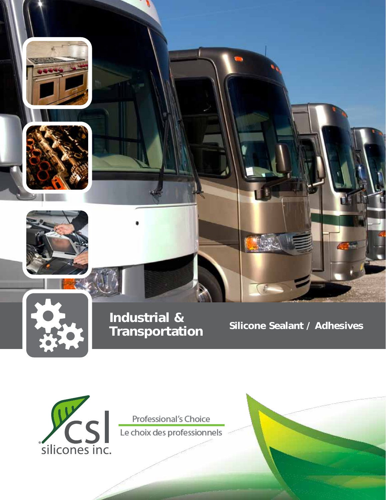





Industrial &<br>
Frepenentation Silicone Sealant / Adhesives **Transportation** 



Professional's Choice Le choix des professionnels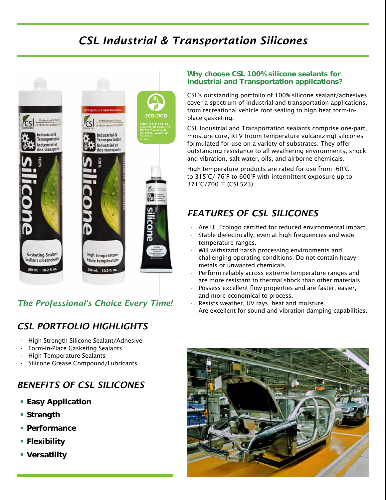# *CSL Industrial & Transportation Silicones*





# *The Professional's Choice Every Time!*

# *CSL PORTFOLIO HIGHLIGHTS*

- • High Strength Silicone Sealant/Adhesive
- Form-in-Place Gasketing Sealants
- **High Temperature Sealants**
- Silicone Grease Compound/Lubricants

# *BENEFITS OF CSL SILICONES*

- Easy Application
- Strength
- Performance
- Flexibility
- Versatility

# Why choose CSL 100% silicone sealants for Industrial and Transportation applications?

CSL's outstanding portfolio of 100% silicone sealant/adhesives cover a spectrum of industrial and transportation applications, from recreational vehicle roof sealing to high heat form-inplace gasketing.

CSL Industrial and Transportation sealants comprise one-part, moisture cure, RTV (room temperature vulcanizing) silicones formulated for use on a variety of substrates. They offer outstanding resistance to all weathering environments, shock and vibration, salt water, oils, and airborne chemicals.

High temperature products are rated for use from -60°C to 315°C/-76°F to 600°F with intermittent exposure up to 371°C/700 °F (CSL523).

# *FEATURES OF CSL SILICONES*

- $\cdot$  Are UL Ecologo certified for reduced environmental impact.
- Stable dielectrically, even at high frequencies and wide temperature ranges.
- Will withstand harsh processing environments and challenging operating conditions. Do not contain heavy metals or unwanted chemicals.
- Perform reliably across extreme temperature ranges and are more resistant to thermal shock than other materials
- Possess excellent flow properties and are faster, easier, and more economical to process.
- Resists weather, UV rays, heat and moisture.
- Are excellent for sound and vibration damping capabilities.

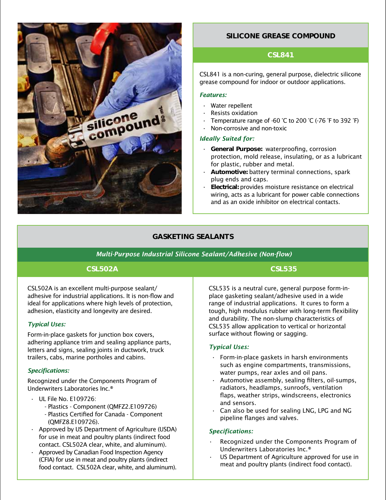

# SILICONE GREASE COMPOUND

## CSL841

CSL841 is a non-curing, general purpose, dielectric silicone grease compound for indoor or outdoor applications.

#### *Features:*

- $\cdot$  Water repellent
- **Resists oxidation**
- Temperature range of -60 °C to 200 °C (-76 °F to 392 °F)
- Non-corrosive and non-toxic

### *Ideally Suited for:*

- • General Purpose: waterproofing, corrosion protection, mold release, insulating, or as a lubricant for plastic, rubber and metal.
- Automotive: battery terminal connections, spark plug ends and caps.
- Electrical: provides moisture resistance on electrical wiring, acts as a lubricant for power cable connections and as an oxide inhibitor on electrical contacts.

## GASKETING SEALANTS

#### *Multi-Purpose Industrial Silicone Sealant/Adhesive (Non-flow)*

## CSL502A

CSL502A is an excellent multi-purpose sealant/ adhesive for industrial applications. It is non-flow and ideal for applications where high levels of protection, adhesion, elasticity and longevity are desired.

## *Typical Uses:*

Form-in-place gaskets for junction box covers, adhering appliance trim and sealing appliance parts, letters and signs, sealing joints in ductwork, truck trailers, cabs, marine portholes and cabins.

#### *Specifications:*

Recognized under the Components Program of Underwriters Laboratories Inc.®

## • UL File No. E109726:

- Plastics Component (QMFZ2.E109726)
- Plastics Certified for Canada Component (QMFZ8.E109726).
- • Approved by US Department of Agriculture (USDA) for use in meat and poultry plants (indirect food contact. CSL502A clear, white, and aluminum).
- Approved by Canadian Food Inspection Agency (CFIA) for use in meat and poultry plants (indirect food contact. CSL502A clear, white, and aluminum).

CSL535

CSL535 is a neutral cure, general purpose form-inplace gasketing sealant/adhesive used in a wide range of industrial applications. It cures to form a tough, high modulus rubber with long-term flexibility and durability. The non-slump characteristics of CSL535 allow application to vertical or horizontal surface without flowing or sagging.

## *Typical Uses:*

- $\cdot$  Form-in-place gaskets in harsh environments such as engine compartments, transmissions, water pumps, rear axles and oil pans.
- $\cdot$  Automotive assembly, sealing filters, oil-sumps, radiators, headlamps, sunroofs, ventilation flaps, weather strips, windscreens, electronics and sensors.
- Can also be used for sealing LNG, LPG and NG pipeline flanges and valves.

#### *Specifications:*

- Recognized under the Components Program of Underwriters Laboratories Inc.®
- US Department of Agriculture approved for use in meat and poultry plants (indirect food contact).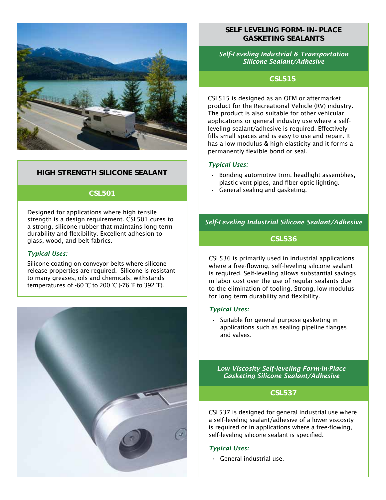

## HIGH STRENGTH SILICONE SEALANT

## CSL501

Designed for applications where high tensile strength is a design requirement. CSL501 cures to a strong, silicone rubber that maintains long term durability and flexibility. Excellent adhesion to glass, wood, and belt fabrics.

### *Typical Uses:*

Silicone coating on conveyor belts where silicone release properties are required. Silicone is resistant to many greases, oils and chemicals; withstands temperatures of -60 °C to 200 °C (-76 °F to 392 °F).



# Self LeveliNg Form-iN-Place GasketiNg SealaNts

*Self-Leveling Industrial & Transportation Silicone Sealant/Adhesive* 

# CSL515

CSL515 is designed as an OEM or aftermarket product for the Recreational Vehicle (RV) industry. The product is also suitable for other vehicular applications or general industry use where a selfleveling sealant/adhesive is required. Effectively fills small spaces and is easy to use and repair. It has a low modulus & high elasticity and it forms a permanently flexible bond or seal.

#### *Typical Uses:*

- Bonding automotive trim, headlight assemblies, plastic vent pipes, and fiber optic lighting.
- $\cdot$  General sealing and gasketing.

## *Self-Leveling Industrial Silicone Sealant/Adhesive*

## CSL536

CSL536 is primarily used in industrial applications where a free-flowing, self-leveling silicone sealant is required. Self-leveling allows substantial savings in labor cost over the use of regular sealants due to the elimination of tooling. Strong, low modulus for long term durability and flexibility.

#### *Typical Uses:*

Suitable for general purpose gasketing in applications such as sealing pipeline flanges and valves.

*Low Viscosity Self-leveling Form-in-Place Gasketing Silicone Sealant/Adhesive*

### CSL537

CSL537 is designed for general industrial use where a self-leveling sealant/adhesive of a lower viscosity is required or in applications where a free-flowing, self-leveling silicone sealant is specified.

#### *Typical Uses:*

• General industrial use.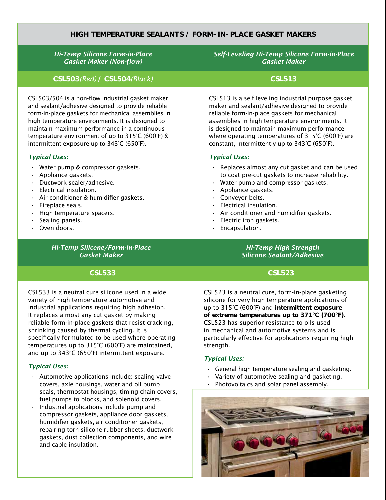## HIGH TEMPERATURE SealaNts / FORM-iN-PLACE GASKET MAKERS

| <b>Hi-Temp Silicone Form-in-Place</b>               | Self-Leveling Hi-Temp Silicone Form-in-Place        |  |  |  |  |  |
|-----------------------------------------------------|-----------------------------------------------------|--|--|--|--|--|
| <b>Gasket Maker (Non-flow)</b>                      | <b>Gasket Maker</b>                                 |  |  |  |  |  |
| CSL503(Red) / CSL504(Black)                         | <b>CSL513</b>                                       |  |  |  |  |  |
| CSL503/504 is a non-flow industrial gasket maker    | CSL513 is a self leveling industrial purpose gasket |  |  |  |  |  |
| and sealant/adhesive designed to provide reliable   | maker and sealant/adhesive designed to provide      |  |  |  |  |  |
| form-in-place gaskets for mechanical assemblies in  | reliable form-in-place gaskets for mechanical       |  |  |  |  |  |
| high temperature environments. It is designed to    | assemblies in high temperature environments. It     |  |  |  |  |  |
| maintain maximum performance in a continuous        | is designed to maintain maximum performance         |  |  |  |  |  |
| temperature environment of up to 315°C (600°F) &    | where operating temperatures of 315°C (600°F) are   |  |  |  |  |  |
| intermittent exposure up to 343°C (650°F).          | constant, intermittently up to 343°C (650°F).       |  |  |  |  |  |
| <b>Typical Uses:</b>                                | <b>Typical Uses:</b>                                |  |  |  |  |  |
| Water pump & compressor gaskets.                    | Replaces almost any cut gasket and can be used      |  |  |  |  |  |
| Appliance gaskets.                                  | to coat pre-cut gaskets to increase reliability.    |  |  |  |  |  |
| Ductwork sealer/adhesive.                           | Water pump and compressor gaskets.                  |  |  |  |  |  |
| Electrical insulation.                              | Appliance gaskets.                                  |  |  |  |  |  |
| Air conditioner & humidifier gaskets.               | Conveyor belts.                                     |  |  |  |  |  |
| Fireplace seals.                                    | Electrical insulation.                              |  |  |  |  |  |
| High temperature spacers.                           | Air conditioner and humidifier gaskets.             |  |  |  |  |  |
| Sealing panels.                                     | Electric iron gaskets.                              |  |  |  |  |  |
| Oven doors.                                         | Encapsulation.                                      |  |  |  |  |  |
| <b>Hi-Temp Silicone/Form-in-Place</b>               | <b>Hi-Temp High Strength</b>                        |  |  |  |  |  |
| <b>Gasket Maker</b>                                 | <b>Silicone Sealant/Adhesive</b>                    |  |  |  |  |  |
| <b>CSL533</b>                                       | <b>CSL523</b>                                       |  |  |  |  |  |
| CSL533 is a neutral cure silicone used in a wide    | CSL523 is a neutral cure, form-in-place gasketing   |  |  |  |  |  |
| variety of high temperature automotive and          | silicone for very high temperature applications of  |  |  |  |  |  |
| industrial applications requiring high adhesion.    | up to 315°C (600°F) and intermittent exposure       |  |  |  |  |  |
| It replaces almost any cut gasket by making         | of extreme temperatures up to 371°C (700°F).        |  |  |  |  |  |
| roliable form in place gaskets that resist crasking | $C \cup C$ $S$ are superior resistance to oils used |  |  |  |  |  |

reliable form-in-place gaskets that resist cracking, shrinking caused by thermal cycling. It is specifically formulated to be used where operating temperatures up to 315°C (600°F) are maintained, and up to  $343^{\circ}C$  (650°F) intermittent exposure.

## *Typical Uses:*

- $\cdot$  Automotive applications include: sealing valve covers, axle housings, water and oil pump seals, thermostat housings, timing chain covers, fuel pumps to blocks, and solenoid covers.
- $\cdot$  Industrial applications include pump and compressor gaskets, appliance door gaskets, humidifier gaskets, air conditioner gaskets, repairing torn silicone rubber sheets, ductwork gaskets, dust collection components, and wire and cable insulation.

CSL523 has superior resistance to oils used in mechanical and automotive systems and is particularly effective for applications requiring high strength.

#### *Typical Uses:*

- $\cdot$  General high temperature sealing and gasketing.
- $\cdot$  Variety of automotive sealing and gasketing.
- • Photovoltaics and solar panel assembly.